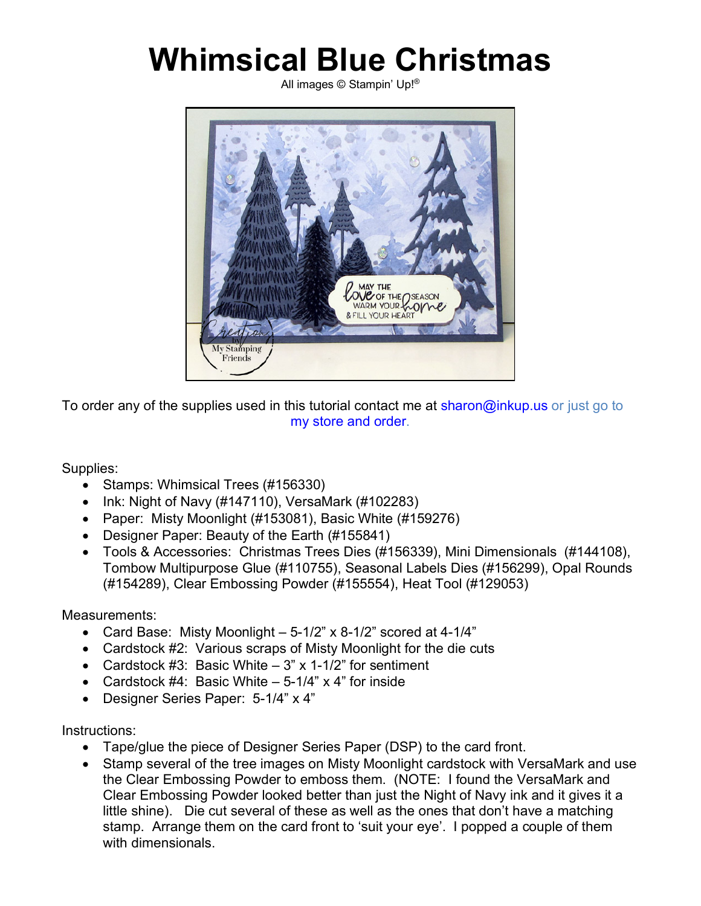## **Whimsical Blue Christmas**

All images © Stampin' Up!®



To order any of the supplies used in this tutorial contact me at sharon@inkup.us or just go to my store and order.

Supplies:

- Stamps: Whimsical Trees (#156330)
- Ink: Night of Navy (#147110), VersaMark (#102283)
- Paper: Misty Moonlight (#153081), Basic White (#159276)
- Designer Paper: Beauty of the Earth (#155841)
- Tools & Accessories: Christmas Trees Dies (#156339), Mini Dimensionals (#144108), Tombow Multipurpose Glue (#110755), Seasonal Labels Dies (#156299), Opal Rounds (#154289), Clear Embossing Powder (#155554), Heat Tool (#129053)

Measurements:

- Card Base: Misty Moonlight  $-5-1/2$ " x 8-1/2" scored at 4-1/4"
- Cardstock #2: Various scraps of Misty Moonlight for the die cuts
- Cardstock #3: Basic White  $-3$ " x 1-1/2" for sentiment
- Cardstock #4: Basic White 5-1/4" x 4" for inside
- Designer Series Paper: 5-1/4" x 4"

Instructions:

- Tape/glue the piece of Designer Series Paper (DSP) to the card front.
- Stamp several of the tree images on Misty Moonlight cardstock with VersaMark and use the Clear Embossing Powder to emboss them. (NOTE: I found the VersaMark and Clear Embossing Powder looked better than just the Night of Navy ink and it gives it a little shine). Die cut several of these as well as the ones that don't have a matching stamp. Arrange them on the card front to 'suit your eye'. I popped a couple of them with dimensionals.